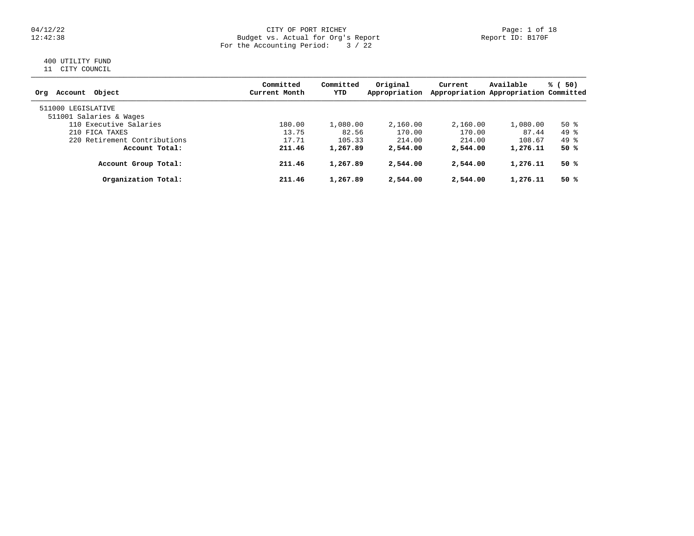### 04/12/22 CITY OF PORT RICHEY Page: 1 of 18 12:42:38 Budget vs. Actual for Org's Report Report ID: B170F For the Accounting Period: 3 / 22

# 400 UTILITY FUND

11 CITY COUNCIL

| Account Object<br>Orq                         | Committed<br>Current Month | Committed<br>YTD | Original<br>Appropriation | Current  | Available<br>Appropriation Appropriation Committed | % (50) |
|-----------------------------------------------|----------------------------|------------------|---------------------------|----------|----------------------------------------------------|--------|
| 511000 LEGISLATIVE<br>511001 Salaries & Wages |                            |                  |                           |          |                                                    |        |
| 110 Executive Salaries                        | 180.00                     | 1,080.00         | 2,160.00                  | 2,160.00 | 1,080.00                                           | $50*$  |
| 210 FICA TAXES                                | 13.75                      | 82.56            | 170.00                    | 170.00   | 87.44                                              | 49 %   |
| 220 Retirement Contributions                  | 17.71                      | 105.33           | 214.00                    | 214.00   | 108.67                                             | 49 %   |
| Account Total:                                | 211.46                     | 1,267.89         | 2,544.00                  | 2,544.00 | 1,276.11                                           | 50 %   |
| Account Group Total:                          | 211.46                     | 1,267.89         | 2,544.00                  | 2,544.00 | 1,276.11                                           | 50 %   |
| Organization Total:                           | 211.46                     | 1,267.89         | 2,544.00                  | 2,544.00 | 1,276.11                                           | 50%    |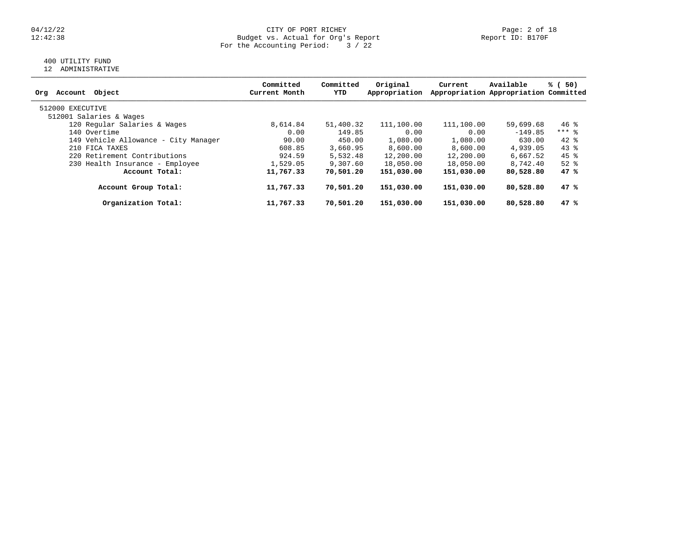### 04/12/22 CITY OF PORT RICHEY Page: 2 of 18 12:42:38 Budget vs. Actual for Org's Report Report ID: B170F For the Accounting Period: 3 / 22

# 400 UTILITY FUND

12 ADMINISTRATIVE

| Object<br>Account<br>Orq             | Committed<br>Current Month | Committed<br>YTD | Original<br>Appropriation | Current    | Available<br>Appropriation Appropriation Committed | % (50)   |
|--------------------------------------|----------------------------|------------------|---------------------------|------------|----------------------------------------------------|----------|
|                                      |                            |                  |                           |            |                                                    |          |
| 512000 EXECUTIVE                     |                            |                  |                           |            |                                                    |          |
| 512001 Salaries & Wages              |                            |                  |                           |            |                                                    |          |
| 120 Regular Salaries & Wages         | 8,614.84                   | 51,400.32        | 111,100.00                | 111,100.00 | 59,699.68                                          | $46$ %   |
| 140 Overtime                         | 0.00                       | 149.85           | 0.00                      | 0.00       | $-149.85$                                          | $***$ 8  |
| 149 Vehicle Allowance - City Manager | 90.00                      | 450.00           | 1,080.00                  | 1,080.00   | 630.00                                             | $42*$    |
| 210 FICA TAXES                       | 608.85                     | 3,660.95         | 8,600.00                  | 8,600.00   | 4,939.05                                           | $43*$    |
| 220 Retirement Contributions         | 924.59                     | 5,532.48         | 12,200.00                 | 12,200.00  | 6,667.52                                           | 45 %     |
| 230 Health Insurance - Employee      | 1,529.05                   | 9,307.60         | 18,050.00                 | 18,050.00  | 8,742.40                                           | $52$ $%$ |
| Account Total:                       | 11,767.33                  | 70,501.20        | 151,030.00                | 151,030.00 | 80,528.80                                          | 47%      |
| Account Group Total:                 | 11,767.33                  | 70,501.20        | 151,030.00                | 151,030.00 | 80,528.80                                          | 47%      |
| Organization Total:                  | 11,767.33                  | 70,501.20        | 151,030.00                | 151,030.00 | 80,528.80                                          | 47%      |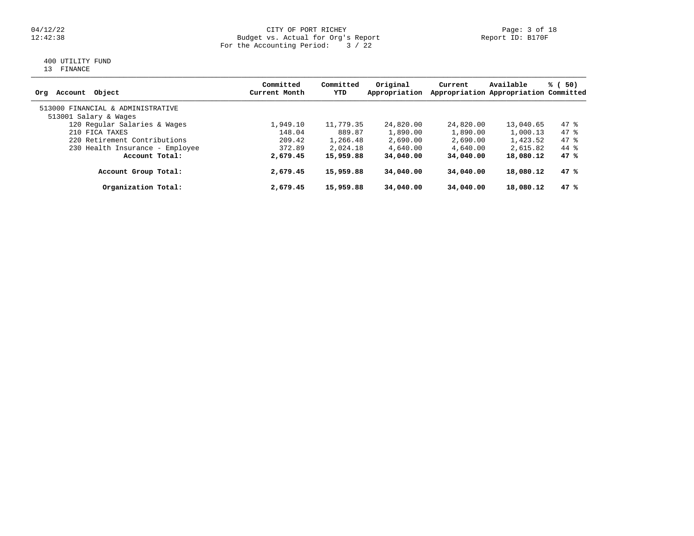### 04/12/22 Page: 3 of 18 12:42:38 Budget vs. Actual for Org's Report Report ID: B170F For the Accounting Period: 3 / 22

# 400 UTILITY FUND

13 FINANCE

| Object<br>Account<br>Orq          | Committed<br>Current Month | Committed<br>YTD | Original<br>Appropriation | Current   | Available<br>Appropriation Appropriation Committed | % (<br>50) |
|-----------------------------------|----------------------------|------------------|---------------------------|-----------|----------------------------------------------------|------------|
| 513000 FINANCIAL & ADMINISTRATIVE |                            |                  |                           |           |                                                    |            |
| 513001 Salary & Wages             |                            |                  |                           |           |                                                    |            |
| 120 Regular Salaries & Wages      | 1,949.10                   | 11,779.35        | 24,820.00                 | 24,820.00 | 13,040.65                                          | $47$ %     |
| 210 FICA TAXES                    | 148.04                     | 889.87           | 1,890.00                  | 1,890.00  | 1,000.13                                           | $47$ %     |
| 220 Retirement Contributions      | 209.42                     | 1,266.48         | 2,690.00                  | 2,690.00  | 1,423.52                                           | $47$ %     |
| 230 Health Insurance - Employee   | 372.89                     | 2,024.18         | 4,640.00                  | 4,640.00  | 2,615.82                                           | 44 %       |
| Account Total:                    | 2,679.45                   | 15,959.88        | 34,040.00                 | 34,040.00 | 18,080.12                                          | 47%        |
| Account Group Total:              | 2,679.45                   | 15,959.88        | 34,040.00                 | 34,040.00 | 18,080.12                                          | 47%        |
| Organization Total:               | 2,679.45                   | 15,959.88        | 34,040.00                 | 34,040.00 | 18,080.12                                          | 47%        |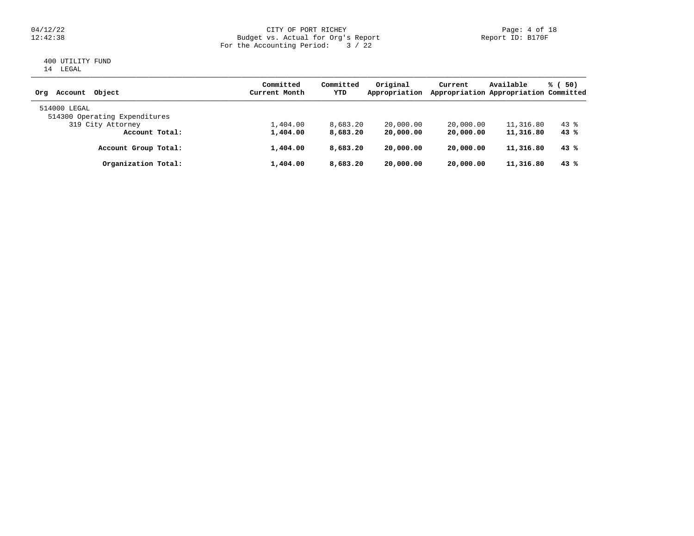### 04/12/22 CITY OF PORT RICHEY Page: 4 of 18 12:42:38 Budget vs. Actual for Org's Report Report ID: B170F For the Accounting Period: 3 / 22

## 400 UTILITY FUND 14 LEGAL

| Object<br>Account<br>Ora                      | Committed<br>Current Month | Committed<br>YTD | Original<br>Appropriation | Current   | Available<br>Appropriation Appropriation Committed | % (<br>50) |
|-----------------------------------------------|----------------------------|------------------|---------------------------|-----------|----------------------------------------------------|------------|
| 514000 LEGAL<br>514300 Operating Expenditures |                            |                  |                           |           |                                                    |            |
| 319 City Attorney                             | 1,404.00                   | 8,683.20         | 20,000.00                 | 20,000.00 | 11,316.80                                          | $43$ $%$   |
| Account Total:                                | 1,404.00                   | 8,683.20         | 20,000.00                 | 20,000.00 | 11,316.80                                          | 43%        |
| Account Group Total:                          | 1,404.00                   | 8,683.20         | 20,000.00                 | 20,000.00 | 11,316.80                                          | 43%        |
| Organization Total:                           | 1,404.00                   | 8,683.20         | 20,000.00                 | 20,000.00 | 11,316.80                                          | 43%        |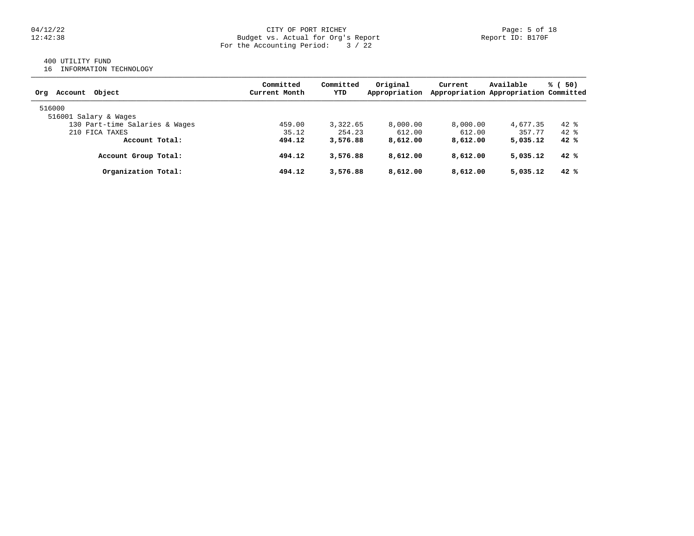### 04/12/22 Page: 5 of 18 12:42:38 Budget vs. Actual for Org's Report Report ID: B170F For the Accounting Period: 3 / 22

# 400 UTILITY FUND

16 INFORMATION TECHNOLOGY

| Object<br>Account<br>Orq       | Committed<br>Current Month | Committed<br>YTD | Original<br>Appropriation | Current  | Available<br>Appropriation Appropriation Committed | - 50)<br>% ( |
|--------------------------------|----------------------------|------------------|---------------------------|----------|----------------------------------------------------|--------------|
| 516000                         |                            |                  |                           |          |                                                    |              |
| 516001 Salary & Wages          |                            |                  |                           |          |                                                    |              |
| 130 Part-time Salaries & Wages | 459.00                     | 3,322.65         | 8,000.00                  | 8,000.00 | 4,677.35                                           | $42*$        |
| 210 FICA TAXES                 | 35.12                      | 254.23           | 612.00                    | 612.00   | 357.77                                             | 42.8         |
| Account Total:                 | 494.12                     | 3,576.88         | 8,612.00                  | 8,612.00 | 5,035.12                                           | 42%          |
| Account Group Total:           | 494.12                     | 3,576.88         | 8,612.00                  | 8,612.00 | 5,035.12                                           | 42%          |
| Organization Total:            | 494.12                     | 3,576.88         | 8,612.00                  | 8,612.00 | 5,035.12                                           | 42%          |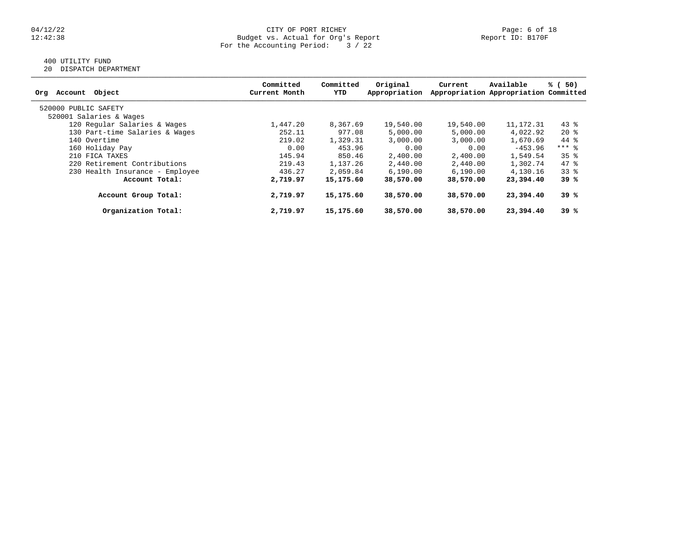### 04/12/22 CITY OF PORT RICHEY Page: 6 of 18 12:42:38 Budget vs. Actual for Org's Report Report ID: B170F For the Accounting Period: 3 / 22

# 400 UTILITY FUND

20 DISPATCH DEPARTMENT

| Object<br>Account<br>Org        | Committed<br>Current Month | Committed<br>YTD | Original<br>Appropriation | Current   | Available<br>Appropriation Appropriation Committed | % (50)          |
|---------------------------------|----------------------------|------------------|---------------------------|-----------|----------------------------------------------------|-----------------|
| 520000 PUBLIC SAFETY            |                            |                  |                           |           |                                                    |                 |
| 520001 Salaries & Wages         |                            |                  |                           |           |                                                    |                 |
| 120 Regular Salaries & Wages    | 1,447.20                   | 8,367.69         | 19,540.00                 | 19,540.00 | 11, 172. 31                                        | $43*$           |
| 130 Part-time Salaries & Wages  | 252.11                     | 977.08           | 5,000.00                  | 5,000.00  | 4,022.92                                           | $20*$           |
| 140 Overtime                    | 219.02                     | 1,329.31         | 3,000.00                  | 3,000.00  | 1,670.69                                           | 44 %            |
| 160 Holiday Pay                 | 0.00                       | 453.96           | 0.00                      | 0.00      | $-453.96$                                          | $***$ 8         |
| 210 FICA TAXES                  | 145.94                     | 850.46           | 2,400.00                  | 2,400.00  | 1,549.54                                           | 35 <sup>8</sup> |
| 220 Retirement Contributions    | 219.43                     | 1,137.26         | 2,440.00                  | 2,440.00  | 1,302.74                                           | 47 %            |
| 230 Health Insurance - Employee | 436.27                     | 2,059.84         | 6, 190.00                 | 6,190.00  | 4,130.16                                           | $33*$           |
| Account Total:                  | 2,719.97                   | 15,175.60        | 38,570.00                 | 38,570.00 | 23,394.40                                          | 39%             |
| Account Group Total:            | 2,719.97                   | 15,175.60        | 38,570.00                 | 38,570.00 | 23,394.40                                          | 39%             |
| Organization Total:             | 2,719.97                   | 15,175.60        | 38,570.00                 | 38,570.00 | 23,394.40                                          | 39%             |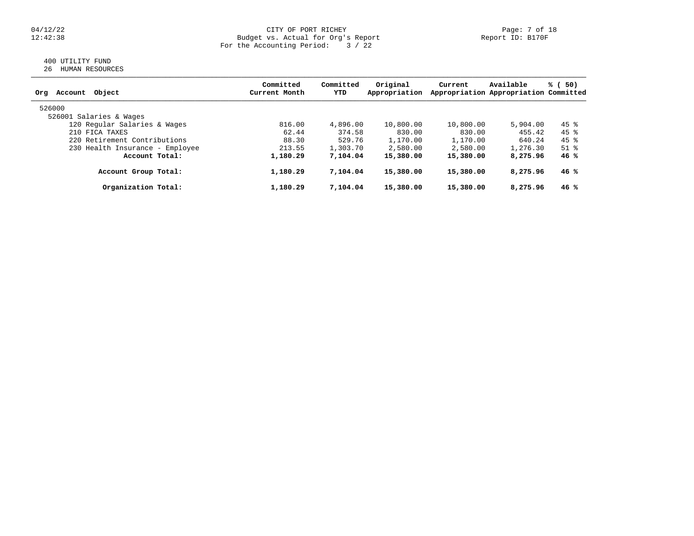### 04/12/22 CITY OF PORT RICHEY Page: 7 of 18 12:42:38 Budget vs. Actual for Org's Report Report ID: B170F For the Accounting Period: 3 / 22

## 400 UTILITY FUND 26 HUMAN RESOURCES

| Object<br>Account<br>Org        | Committed<br>Current Month | Committed<br>YTD | Original<br>Appropriation | Current   | Available<br>Appropriation Appropriation Committed | % (<br>50) |
|---------------------------------|----------------------------|------------------|---------------------------|-----------|----------------------------------------------------|------------|
| 526000                          |                            |                  |                           |           |                                                    |            |
| 526001 Salaries & Wages         |                            |                  |                           |           |                                                    |            |
| 120 Regular Salaries & Wages    | 816.00                     | 4,896.00         | 10,800.00                 | 10,800.00 | 5,904.00                                           | 45 %       |
| 210 FICA TAXES                  | 62.44                      | 374.58           | 830.00                    | 830.00    | 455.42                                             | 45 %       |
| 220 Retirement Contributions    | 88.30                      | 529.76           | 1,170.00                  | 1,170.00  | 640.24                                             | 45 %       |
| 230 Health Insurance - Employee | 213.55                     | 1,303.70         | 2,580.00                  | 2,580.00  | 1,276.30                                           | $51$ $%$   |
| Account Total:                  | 1,180.29                   | 7,104.04         | 15,380.00                 | 15,380.00 | 8,275.96                                           | 46%        |
| Account Group Total:            | 1,180.29                   | 7,104.04         | 15,380.00                 | 15,380.00 | 8,275.96                                           | 46 %       |
| Organization Total:             | 1,180.29                   | 7,104.04         | 15,380.00                 | 15,380.00 | 8,275.96                                           | 46 %       |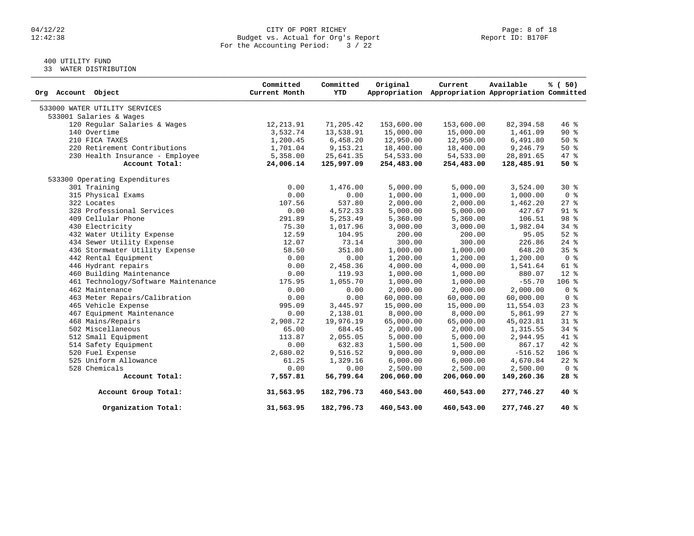# 04/12/22 CITY OF PORT RICHEY Page: 8 of 18<br>12:42:38 Budget vs. Actual for Org's Report Page: Page: 8 of 18 Budget vs. Actual for Org's Report For the Accounting Period: 3 / 22

# 400 UTILITY FUND

33 WATER DISTRIBUTION

| Org Account Object                  | Committed<br>Current Month | Committed<br>YTD | Original   | Current<br>Appropriation Appropriation Appropriation Committed | Available  | % (50)          |
|-------------------------------------|----------------------------|------------------|------------|----------------------------------------------------------------|------------|-----------------|
| 533000 WATER UTILITY SERVICES       |                            |                  |            |                                                                |            |                 |
| 533001 Salaries & Wages             |                            |                  |            |                                                                |            |                 |
| 120 Regular Salaries & Wages        | 12,213.91                  | 71,205.42        | 153,600.00 | 153,600.00                                                     | 82,394.58  | $46*$           |
| 140 Overtime                        | 3,532.74                   | 13,538.91        | 15,000.00  | 15,000.00                                                      | 1,461.09   | $90*$           |
| 210 FICA TAXES                      | 1,200.45                   | 6,458.20         | 12,950.00  | 12,950.00                                                      | 6,491.80   | $50*$           |
| 220 Retirement Contributions        | 1,701.04                   | 9,153.21         | 18,400.00  | 18,400.00                                                      | 9,246.79   | $50*$           |
| 230 Health Insurance - Employee     | 5,358.00                   | 25,641.35        | 54,533.00  | 54,533.00                                                      | 28,891.65  | 47 %            |
| Account Total:                      | 24,006.14                  | 125,997.09       | 254,483.00 | 254,483.00                                                     | 128,485.91 | 50%             |
| 533300 Operating Expenditures       |                            |                  |            |                                                                |            |                 |
| 301 Training                        | 0.00                       | 1,476.00         | 5,000.00   | 5,000.00                                                       | 3,524.00   | $30*$           |
| 315 Physical Exams                  | 0.00                       | 0.00             | 1,000.00   | 1,000.00                                                       | 1,000.00   | 0 <sup>8</sup>  |
| 322 Locates                         | 107.56                     | 537.80           | 2,000.00   | 2,000.00                                                       | 1,462.20   | $27$ %          |
| 328 Professional Services           | 0.00                       | 4,572.33         | 5,000.00   | 5,000.00                                                       | 427.67     | 91 <sub>8</sub> |
| 409 Cellular Phone                  | 291.89                     | 5,253.49         | 5,360.00   | 5,360.00                                                       | 106.51     | 98 %            |
| 430 Electricity                     | 75.30                      | 1,017.96         | 3,000.00   | 3,000.00                                                       | 1,982.04   | $34$ $%$        |
| 432 Water Utility Expense           | 12.59                      | 104.95           | 200.00     | 200.00                                                         | 95.05      | $52$ $%$        |
| 434 Sewer Utility Expense           | 12.07                      | 73.14            | 300.00     | 300.00                                                         | 226.86     | $24$ %          |
| 436 Stormwater Utility Expense      | 58.50                      | 351.80           | 1,000.00   | 1,000.00                                                       | 648.20     | 35 <sup>8</sup> |
| 442 Rental Equipment                | 0.00                       | 0.00             | 1,200.00   | 1,200.00                                                       | 1,200.00   | 0 <sup>8</sup>  |
| 446 Hydrant repairs                 | 0.00                       | 2,458.36         | 4,000.00   | 4,000.00                                                       | 1,541.64   | 61 %            |
| 460 Building Maintenance            | 0.00                       | 119.93           | 1,000.00   | 1,000.00                                                       | 880.07     | $12*$           |
| 461 Technology/Software Maintenance | 175.95                     | 1,055.70         | 1,000.00   | 1,000.00                                                       | $-55.70$   | 106 %           |
| 462 Maintenance                     | 0.00                       | 0.00             | 2,000.00   | 2,000.00                                                       | 2,000.00   | 0 <sup>8</sup>  |
| 463 Meter Repairs/Calibration       | 0.00                       | 0.00             | 60,000.00  | 60,000.00                                                      | 60,000.00  | 0 <sup>8</sup>  |
| 465 Vehicle Expense                 | 995.09                     | 3,445.97         | 15,000.00  | 15,000.00                                                      | 11,554.03  | $23$ $%$        |
| 467 Equipment Maintenance           | 0.00                       | 2,138.01         | 8,000.00   | 8,000.00                                                       | 5,861.99   | $27$ %          |
| 468 Mains/Repairs                   | 2,908.72                   | 19,976.19        | 65,000.00  | 65,000.00                                                      | 45,023.81  | $31*$           |
| 502 Miscellaneous                   | 65.00                      | 684.45           | 2,000.00   | 2,000.00                                                       | 1,315.55   | $34$ $%$        |
| 512 Small Equipment                 | 113.87                     | 2,055.05         | 5,000.00   | 5,000.00                                                       | 2,944.95   | 41 %            |
| 514 Safety Equipment                | 0.00                       | 632.83           | 1,500.00   | 1,500.00                                                       | 867.17     | 42 %            |
| 520 Fuel Expense                    | 2,680.02                   | 9,516.52         | 9,000.00   | 9,000.00                                                       | $-516.52$  | $106$ %         |
| 525 Uniform Allowance               | 61.25                      | 1,329.16         | 6,000.00   | 6,000.00                                                       | 4,670.84   | $22$ $%$        |
| 528 Chemicals                       | 0.00                       | 0.00             | 2,500.00   | 2,500.00                                                       | 2,500.00   | 0 <sup>8</sup>  |
| Account Total:                      | 7,557.81                   | 56,799.64        | 206,060.00 | 206,060.00                                                     | 149,260.36 | 28%             |
| Account Group Total:                | 31,563.95                  | 182,796.73       | 460,543.00 | 460,543.00                                                     | 277,746.27 | 40 %            |
| Organization Total:                 | 31,563.95                  | 182,796.73       | 460,543.00 | 460,543.00                                                     | 277,746.27 | 40 %            |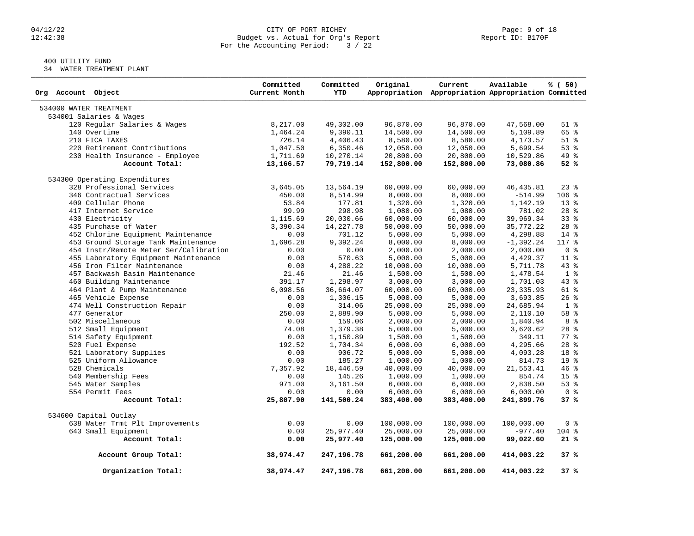# 04/12/22 CITY OF PORT RICHEY Page: 9 of 18<br>
Budget vs. Actual for Org's Report Page: 9 Of 18<br>
Page: 9 of 18<br>
Report ID: B170F Budget vs. Actual for Org's Report For the Accounting Period: 3 / 22

# 400 UTILITY FUND

34 WATER TREATMENT PLANT

| Org Account Object                     | Committed<br>Current Month | Committed<br><b>YTD</b> | Original              | Current<br>Appropriation Appropriation Appropriation Committed | Available             | % (50)          |
|----------------------------------------|----------------------------|-------------------------|-----------------------|----------------------------------------------------------------|-----------------------|-----------------|
| 534000 WATER TREATMENT                 |                            |                         |                       |                                                                |                       |                 |
| 534001 Salaries & Wages                |                            |                         |                       |                                                                |                       |                 |
| 120 Regular Salaries & Wages           | 8,217.00                   | 49,302.00               | 96,870.00             | 96,870.00                                                      | 47,568.00             | $51$ $%$        |
| 140 Overtime                           | 1,464.24                   | 9,390.11                | 14,500.00             | 14,500.00                                                      | 5,109.89              | 65 %            |
| 210 FICA TAXES                         | 726.14                     | 4,406.43                | 8,580.00              | 8,580.00                                                       | 4,173.57              | $51$ $%$        |
| 220 Retirement Contributions           | 1,047.50                   | 6,350.46                | 12,050.00             | 12,050.00                                                      | 5,699.54              | 53%             |
| 230 Health Insurance - Employee        | 1,711.69                   | 10,270.14               | 20,800.00             | 20,800.00                                                      | 10,529.86             | 49 %            |
| Account Total:                         | 13,166.57                  | 79,719.14               | 152,800.00            | 152,800.00                                                     | 73,080.86             | 52%             |
| 534300 Operating Expenditures          |                            |                         |                       |                                                                |                       |                 |
| 328 Professional Services              | 3,645.05                   | 13,564.19               | 60,000.00             | 60,000.00                                                      | 46, 435.81            | $23$ $%$        |
| 346 Contractual Services               | 450.00                     | 8,514.99                | 8,000.00              | 8,000.00                                                       | $-514.99$             | $106$ %         |
| 409 Cellular Phone                     | 53.84                      | 177.81                  | 1,320.00              | 1,320.00                                                       | 1,142.19              | 13 <sup>°</sup> |
| 417 Internet Service                   | 99.99                      | 298.98                  | 1,080.00              | 1,080.00                                                       | 781.02                | 28 <sup>8</sup> |
| 430 Electricity                        | 1,115.69                   | 20,030.66               | 60,000.00             | 60,000.00                                                      | 39,969.34             | 33%             |
| 435 Purchase of Water                  | 3,390.34                   | 14, 227.78              | 50,000.00             | 50,000.00                                                      | 35,772.22             | $28$ %          |
| 452 Chlorine Equipment Maintenance     | 0.00                       | 701.12                  | 5,000.00              | 5,000.00                                                       | 4,298.88              | $14*$           |
| 453 Ground Storage Tank Maintenance    | 1,696.28                   | 9,392.24                | 8,000.00              | 8,000.00                                                       | $-1,392.24$           | $117*$          |
| 454 Instr/Remote Meter Ser/Calibration | 0.00                       | 0.00                    | 2,000.00              | 2,000.00                                                       | 2,000.00              | 0 <sup>8</sup>  |
| 455 Laboratory Equipment Maintenance   | 0.00                       | 570.63                  | 5,000.00              | 5,000.00                                                       | 4,429.37              | $11*$           |
| 456 Iron Filter Maintenance            | 0.00                       | 4,288.22                | 10,000.00             | 10,000.00                                                      | 5,711.78              | $43$ $%$        |
| 457 Backwash Basin Maintenance         | 21.46                      | 21.46                   | 1,500.00              | 1,500.00                                                       | 1,478.54              | 1 <sup>°</sup>  |
| 460 Building Maintenance               | 391.17                     | 1,298.97                | 3,000.00              | 3,000.00                                                       | 1,701.03              | $43$ $%$        |
| 464 Plant & Pump Maintenance           | 6,098.56                   | 36,664.07               | 60,000.00             | 60,000.00                                                      | 23, 335.93            | $61$ %          |
| 465 Vehicle Expense                    | 0.00                       | 1,306.15                | 5,000.00              | 5,000.00                                                       | 3,693.85              | $26$ %          |
| 474 Well Construction Repair           | 0.00                       | 314.06                  |                       |                                                                |                       | 1 <sup>8</sup>  |
| 477 Generator                          | 250.00                     | 2,889.90                | 25,000.00<br>5,000.00 | 25,000.00<br>5,000.00                                          | 24,685.94<br>2,110.10 | 58 %            |
| 502 Miscellaneous                      | 0.00                       |                         |                       |                                                                |                       | 8 %             |
|                                        | 74.08                      | 159.06                  | 2,000.00              | 2,000.00                                                       | 1,840.94              | $28$ %          |
| 512 Small Equipment                    |                            | 1,379.38                | 5,000.00              | 5,000.00                                                       | 3,620.62              |                 |
| 514 Safety Equipment                   | 0.00                       | 1,150.89                | 1,500.00              | 1,500.00                                                       | 349.11                | 77.8            |
| 520 Fuel Expense                       | 192.52                     | 1,704.34                | 6,000.00              | 6,000.00                                                       | 4,295.66              | $28$ $%$        |
| 521 Laboratory Supplies                | 0.00                       | 906.72                  | 5,000.00              | 5,000.00                                                       | 4,093.28              | 18 %            |
| 525 Uniform Allowance                  | 0.00                       | 185.27                  | 1,000.00              | 1,000.00                                                       | 814.73                | 19 <sup>°</sup> |
| 528 Chemicals                          | 7,357.92                   | 18,446.59               | 40,000.00             | 40,000.00                                                      | 21,553.41             | $46*$           |
| 540 Membership Fees                    | 0.00                       | 145.26                  | 1,000.00              | 1,000.00                                                       | 854.74                | 15 <sup>8</sup> |
| 545 Water Samples                      | 971.00                     | 3,161.50                | 6,000.00              | 6,000.00                                                       | 2,838.50              | 53%             |
| 554 Permit Fees                        | 0.00                       | 0.00                    | 6,000.00              | 6,000.00                                                       | 6,000.00              | 0 <sup>8</sup>  |
| Account Total:                         | 25,807.90                  | 141,500.24              | 383,400.00            | 383,400.00                                                     | 241,899.76            | 37%             |
| 534600 Capital Outlay                  |                            |                         |                       |                                                                |                       |                 |
| 638 Water Trmt Plt Improvements        | 0.00                       | 0.00                    | 100,000.00            | 100,000.00                                                     | 100,000.00            | 0 <sup>8</sup>  |
| 643 Small Equipment                    | 0.00                       | 25,977.40               | 25,000.00             | 25,000.00                                                      | $-977.40$             | $104$ %         |
| Account Total:                         | 0.00                       | 25,977.40               | 125,000.00            | 125,000.00                                                     | 99,022.60             | 21%             |
| Account Group Total:                   | 38,974.47                  | 247,196.78              | 661,200.00            | 661,200.00                                                     | 414,003.22            | 37 %            |
| Organization Total:                    | 38,974.47                  | 247,196.78              | 661,200.00            | 661,200.00                                                     | 414,003.22            | 37%             |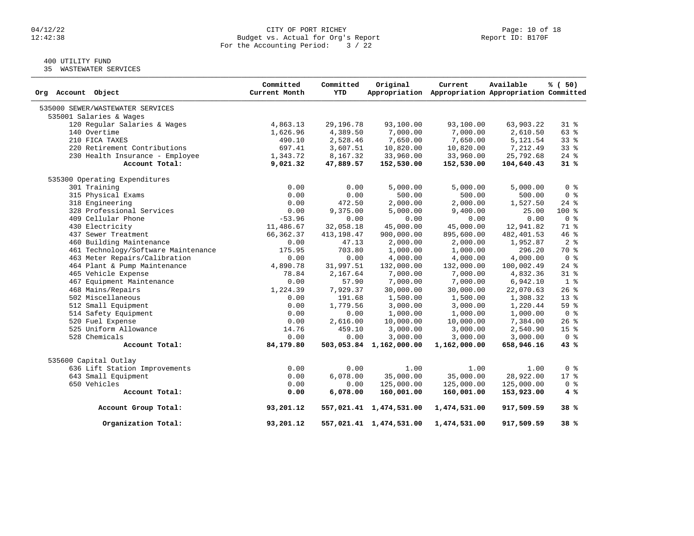### 04/12/22 CITY OF PORT RICHEY Page: 10 of 18 12:42:38 Budget vs. Actual for Org's Report Report ID: B170F For the Accounting Period: 3 / 22

# 400 UTILITY FUND

35 WASTEWATER SERVICES

| Org Account Object                  | Committed<br>Current Month | Committed<br><b>YTD</b> | Original                | Current<br>Appropriation Appropriation Appropriation Committed | Available  | % (50)          |
|-------------------------------------|----------------------------|-------------------------|-------------------------|----------------------------------------------------------------|------------|-----------------|
| 535000 SEWER/WASTEWATER SERVICES    |                            |                         |                         |                                                                |            |                 |
| 535001 Salaries & Wages             |                            |                         |                         |                                                                |            |                 |
| 120 Regular Salaries & Wages        | 4,863.13                   | 29,196.78               | 93,100.00               | 93,100.00                                                      | 63,903.22  | 31.8            |
| 140 Overtime                        | 1,626.96                   | 4,389.50                | 7,000.00                | 7,000.00                                                       | 2,610.50   | 63 %            |
| 210 FICA TAXES                      | 490.10                     | 2,528.46                | 7,650.00                | 7,650.00                                                       | 5,121.54   | 33%             |
| 220 Retirement Contributions        | 697.41                     | 3,607.51                | 10,820.00               | 10,820.00                                                      | 7,212.49   | 338             |
| 230 Health Insurance - Employee     | 1,343.72                   | 8,167.32                | 33,960.00               | 33,960.00                                                      | 25,792.68  | $24$ %          |
| Account Total:                      | 9,021.32                   | 47,889.57               | 152,530.00              | 152,530.00                                                     | 104,640.43 | 31%             |
| 535300 Operating Expenditures       |                            |                         |                         |                                                                |            |                 |
| 301 Training                        | 0.00                       | 0.00                    | 5,000.00                | 5,000.00                                                       | 5,000.00   | 0 <sup>8</sup>  |
| 315 Physical Exams                  | 0.00                       | 0.00                    | 500.00                  | 500.00                                                         | 500.00     | 0 <sup>8</sup>  |
| 318 Engineering                     | 0.00                       | 472.50                  | 2,000.00                | 2,000.00                                                       | 1,527.50   | $24$ %          |
| 328 Professional Services           | 0.00                       | 9,375.00                | 5,000.00                | 9,400.00                                                       | 25.00      | $100*$          |
| 409 Cellular Phone                  | $-53.96$                   | 0.00                    | 0.00                    | 0.00                                                           | 0.00       | 0 <sup>8</sup>  |
| 430 Electricity                     | 11,486.67                  | 32,058.18               | 45,000.00               | 45,000.00                                                      | 12,941.82  | 71 %            |
| 437 Sewer Treatment                 | 66,362.37                  | 413, 198.47             | 900,000.00              | 895,600.00                                                     | 482,401.53 | 46%             |
| 460 Building Maintenance            | 0.00                       | 47.13                   | 2,000.00                | 2,000.00                                                       | 1,952.87   | 2 <sup>°</sup>  |
| 461 Technology/Software Maintenance | 175.95                     | 703.80                  | 1,000.00                | 1,000.00                                                       | 296.20     | 70 %            |
| 463 Meter Repairs/Calibration       | 0.00                       | 0.00                    | 4,000.00                | 4,000.00                                                       | 4,000.00   | 0 <sup>8</sup>  |
| 464 Plant & Pump Maintenance        | 4,890.78                   | 31,997.51               | 132,000.00              | 132,000.00                                                     | 100,002.49 | $24$ %          |
| 465 Vehicle Expense                 | 78.84                      | 2,167.64                | 7,000.00                | 7,000.00                                                       | 4,832.36   | $31$ %          |
| 467 Equipment Maintenance           | 0.00                       | 57.90                   | 7,000.00                | 7,000.00                                                       | 6,942.10   | 1 <sup>°</sup>  |
| 468 Mains/Repairs                   | 1,224.39                   | 7,929.37                | 30,000.00               | 30,000.00                                                      | 22,070.63  | 26%             |
| 502 Miscellaneous                   | 0.00                       | 191.68                  | 1,500.00                | 1,500.00                                                       | 1,308.32   | $13*$           |
| 512 Small Equipment                 | 0.00                       | 1,779.56                | 3,000.00                | 3,000.00                                                       | 1,220.44   | 59%             |
| 514 Safety Equipment                | 0.00                       | 0.00                    | 1,000.00                | 1,000.00                                                       | 1,000.00   | 0 <sup>8</sup>  |
| 520 Fuel Expense                    | 0.00                       | 2,616.00                | 10,000.00               | 10,000.00                                                      | 7,384.00   | 26%             |
| 525 Uniform Allowance               | 14.76                      | 459.10                  | 3,000.00                | 3,000.00                                                       | 2,540.90   | 15 <sup>8</sup> |
| 528 Chemicals                       | 0.00                       | 0.00                    | 3,000.00                | 3,000.00                                                       | 3,000.00   | 0 <sup>8</sup>  |
| Account Total:                      | 84,179.80                  |                         | 503,053.84 1,162,000.00 | 1,162,000.00                                                   | 658,946.16 | 43 %            |
| 535600 Capital Outlay               |                            |                         |                         |                                                                |            |                 |
| 636 Lift Station Improvements       | 0.00                       | 0.00                    | 1.00                    | 1.00                                                           | 1.00       | 0 <sup>8</sup>  |
| 643 Small Equipment                 | 0.00                       | 6,078.00                | 35,000.00               | 35,000.00                                                      | 28,922.00  | 17 <sub>8</sub> |
| 650 Vehicles                        | 0.00                       | 0.00                    | 125,000.00              | 125,000.00                                                     | 125,000.00 | 0 <sup>8</sup>  |
| Account Total:                      | 0.00                       | 6,078.00                | 160,001.00              | 160,001.00                                                     | 153,923.00 | 4 %             |
| Account Group Total:                | 93,201.12                  |                         | 557,021.41 1,474,531.00 | 1,474,531.00                                                   | 917,509.59 | 38 %            |
| Organization Total:                 | 93,201.12                  |                         | 557,021.41 1,474,531.00 | 1,474,531.00                                                   | 917,509.59 | 38 %            |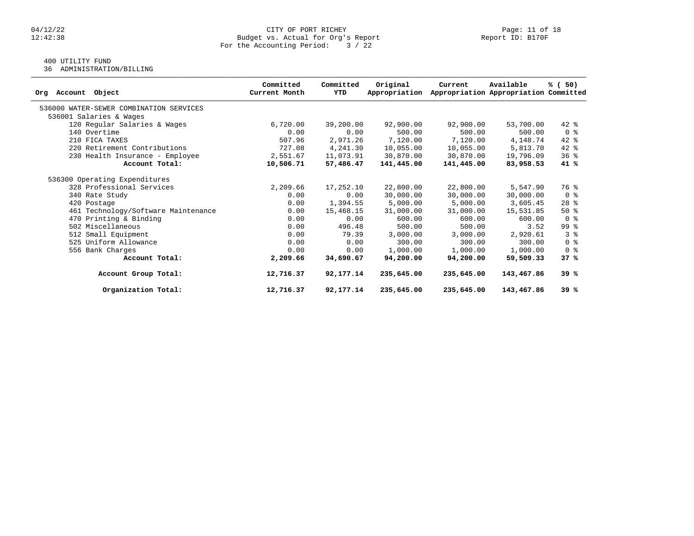# $04/12/22$  Page: 11 of 18<br>Budget vs. Actual for Org's Report Page: 11 of 18<br>Report ID: B170F Budget vs. Actual for Org's Report For the Accounting Period: 3 / 22

# 400 UTILITY FUND

36 ADMINISTRATION/BILLING

| Object<br>Account<br>Org                | Committed<br>Current Month | Committed<br>YTD | Original<br>Appropriation | Current    | Available<br>Appropriation Appropriation Committed | % (50)                             |
|-----------------------------------------|----------------------------|------------------|---------------------------|------------|----------------------------------------------------|------------------------------------|
| 536000 WATER-SEWER COMBINATION SERVICES |                            |                  |                           |            |                                                    |                                    |
| 536001 Salaries & Wages                 |                            |                  |                           |            |                                                    |                                    |
| 120 Regular Salaries & Wages            | 6,720.00                   | 39,200.00        | 92,900.00                 | 92,900.00  | 53,700.00                                          | $42*$                              |
| 140 Overtime                            | 0.00                       | 0.00             | 500.00                    | 500.00     | 500.00                                             | 0 <sub>8</sub>                     |
| 210 FICA TAXES                          | 507.96                     | 2,971.26         | 7,120.00                  | 7,120.00   | 4,148.74                                           | 42 %                               |
| 220 Retirement Contributions            | 727.08                     | 4,241.30         | 10,055.00                 | 10,055.00  | 5,813.70                                           | $42$ %                             |
| 230 Health Insurance - Employee         | 2,551.67                   | 11,073.91        | 30,870.00                 | 30,870.00  | 19,796.09                                          | 36 <sup>8</sup>                    |
| Account Total:                          | 10,506.71                  | 57,486.47        | 141,445.00                | 141,445.00 | 83,958.53                                          | 41 %                               |
| 536300 Operating Expenditures           |                            |                  |                           |            |                                                    |                                    |
| 328 Professional Services               | 2,209.66                   | 17,252.10        | 22,800.00                 | 22,800.00  | 5,547.90                                           | 76 %                               |
| 340 Rate Study                          | 0.00                       | 0.00             | 30,000.00                 | 30,000.00  | 30,000.00                                          | 0 <sup>8</sup>                     |
| 420 Postage                             | 0.00                       | 1,394.55         | 5,000.00                  | 5,000.00   | 3,605.45                                           | $28$ %                             |
| 461 Technology/Software Maintenance     | 0.00                       | 15,468.15        | 31,000.00                 | 31,000.00  | 15,531.85                                          | $50*$                              |
| 470 Printing & Binding                  | 0.00                       | 0.00             | 600.00                    | 600.00     | 600.00                                             | 0 <sup>8</sup>                     |
| 502 Miscellaneous                       | 0.00                       | 496.48           | 500.00                    | 500.00     | 3.52                                               | 99 %                               |
| 512 Small Equipment                     | 0.00                       | 79.39            | 3,000.00                  | 3,000.00   | 2,920.61                                           | 3%                                 |
| 525 Uniform Allowance                   | 0.00                       | 0.00             | 300.00                    | 300.00     | 300.00                                             | $0 \text{ }$ $\text{ }$ $\text{ }$ |
| 556 Bank Charges                        | 0.00                       | 0.00             | 1,000.00                  | 1,000.00   | 1,000.00                                           | 0 <sup>8</sup>                     |
| Account Total:                          | 2,209.66                   | 34,690.67        | 94,200.00                 | 94,200.00  | 59,509.33                                          | 37%                                |
| Account Group Total:                    | 12,716.37                  | 92,177.14        | 235,645.00                | 235,645.00 | 143,467.86                                         | 39%                                |
| Organization Total:                     | 12,716.37                  | 92,177.14        | 235,645.00                | 235,645.00 | 143,467.86                                         | 39%                                |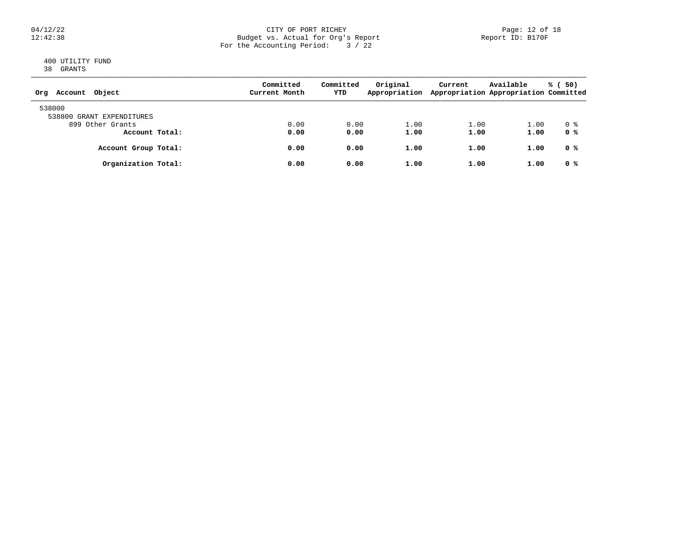### 04/12/22 CITY OF PORT RICHEY Page: 12 of 18 12:42:38 Budget vs. Actual for Org's Report Report ID: B170F For the Accounting Period: 3 / 22

## 400 UTILITY FUND 38 GRANTS

| Object<br>Account<br>Org  | Committed<br>Current Month | Committed<br>YTD | Original<br>Appropriation | Current | Available<br>Appropriation Appropriation Committed | % (<br>50) |
|---------------------------|----------------------------|------------------|---------------------------|---------|----------------------------------------------------|------------|
| 538000                    |                            |                  |                           |         |                                                    |            |
| 538800 GRANT EXPENDITURES |                            |                  |                           |         |                                                    |            |
| 899 Other Grants          | 0.00                       | 0.00             | 1.00                      | 1.00    | 1.00                                               | 0 %        |
| Account Total:            | 0.00                       | 0.00             | 1.00                      | 1.00    | 1.00                                               | 0 %        |
| Account Group Total:      | 0.00                       | 0.00             | 1.00                      | 1.00    | 1.00                                               | 0 %        |
| Organization Total:       | 0.00                       | 0.00             | 1.00                      | 1.00    | 1.00                                               | 0 %        |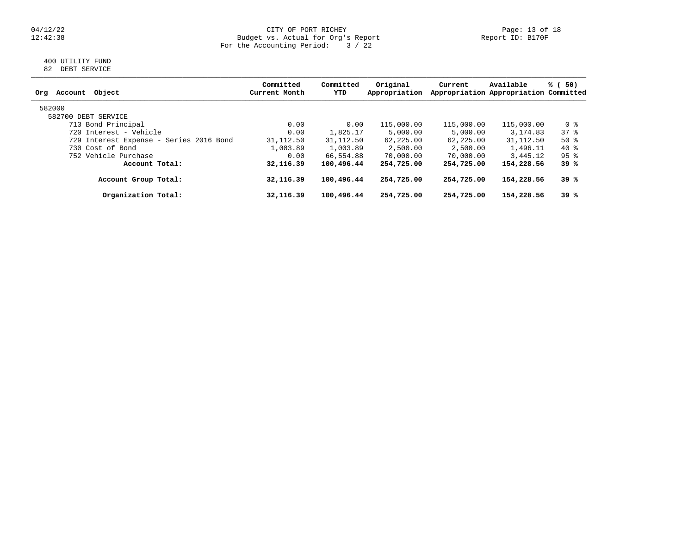### 04/12/22 CITY OF PORT RICHEY Page: 13 of 18 12:42:38 Budget vs. Actual for Org's Report Report ID: B170F For the Accounting Period: 3 / 22

## 400 UTILITY FUND 82 DEBT SERVICE

| Committed<br>Current Month | Committed<br>YTD | Original<br>Appropriation | Current                                                                  | Available  | 50)<br>% (                                                                                                                |
|----------------------------|------------------|---------------------------|--------------------------------------------------------------------------|------------|---------------------------------------------------------------------------------------------------------------------------|
|                            |                  |                           |                                                                          |            |                                                                                                                           |
|                            |                  |                           |                                                                          |            |                                                                                                                           |
| 0.00                       |                  | 115,000.00                |                                                                          | 115,000.00 | 0 %                                                                                                                       |
| 0.00                       | 1,825.17         | 5,000.00                  | 5,000.00                                                                 | 3, 174, 83 | 378                                                                                                                       |
| 31,112.50                  |                  | 62,225.00                 |                                                                          |            | $50*$                                                                                                                     |
| 1,003.89                   | 1,003.89         | 2,500.00                  | 2,500.00                                                                 | 1,496.11   | 40 %                                                                                                                      |
| 0.00                       |                  | 70,000.00                 | 70,000.00                                                                | 3,445.12   | $95$ %                                                                                                                    |
| 32,116.39                  |                  | 254,725.00                |                                                                          | 154,228.56 | 39 %                                                                                                                      |
| 32, 116, 39                |                  | 254,725.00                |                                                                          | 154,228.56 | 39 %                                                                                                                      |
| 32, 116, 39                |                  | 254,725.00                |                                                                          | 154,228.56 | 39 %                                                                                                                      |
|                            |                  |                           | 0.00<br>31,112.50<br>66,554.88<br>100,496.44<br>100,496.44<br>100,496.44 |            | Appropriation Appropriation Committed<br>115,000.00<br>31,112.50<br>62, 225, 00<br>254,725.00<br>254,725.00<br>254,725.00 |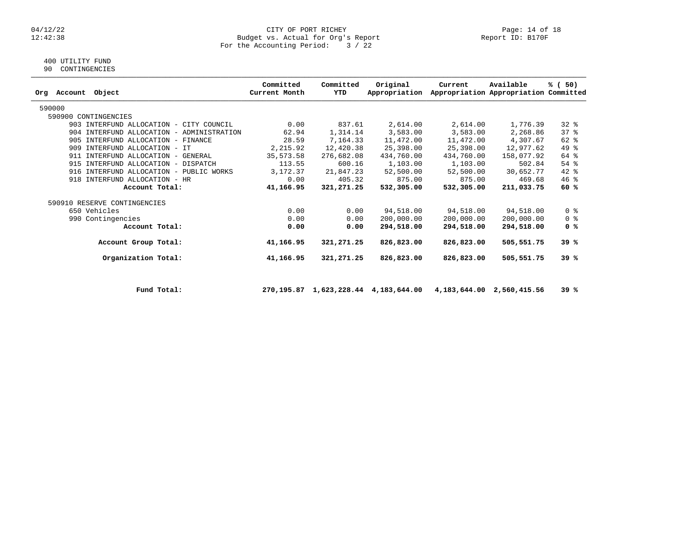### 04/12/22 CITY OF PORT RICHEY Page: 14 of 18 12:42:38 Budget vs. Actual for Org's Report Report ID: B170F For the Accounting Period: 3 / 22

# 400 UTILITY FUND

90 CONTINGENCIES

| Org | Account | Object                                    | Committed<br>Current Month | Committed<br>YTD | Original<br>Appropriation | Current    | Available<br>Appropriation Appropriation Committed | % (50)         |
|-----|---------|-------------------------------------------|----------------------------|------------------|---------------------------|------------|----------------------------------------------------|----------------|
|     | 590000  |                                           |                            |                  |                           |            |                                                    |                |
|     |         | 590900 CONTINGENCIES                      |                            |                  |                           |            |                                                    |                |
|     |         | 903 INTERFUND ALLOCATION - CITY COUNCIL   | 0.00                       | 837.61           | 2,614.00                  | 2,614.00   | 1,776.39                                           | $32$ $%$       |
|     |         | 904 INTERFUND ALLOCATION - ADMINISTRATION | 62.94                      | 1,314.14         | 3,583.00                  | 3,583.00   | 2,268.86                                           | 37%            |
|     | 905     | INTERFUND ALLOCATION - FINANCE            | 28.59                      | 7,164.33         | 11,472.00                 | 11,472.00  | 4,307.67                                           | $62$ $%$       |
|     | 909     | INTERFUND ALLOCATION - IT                 | 2,215.92                   | 12,420.38        | 25,398.00                 | 25,398.00  | 12,977.62                                          | 49 %           |
|     |         | 911 INTERFUND ALLOCATION - GENERAL        | 35,573.58                  | 276,682.08       | 434,760.00                | 434,760.00 | 158,077.92                                         | 64 %           |
|     |         | 915 INTERFUND ALLOCATION - DISPATCH       | 113.55                     | 600.16           | 1,103.00                  | 1,103.00   | 502.84                                             | $54$ $%$       |
|     |         | 916 INTERFUND ALLOCATION - PUBLIC WORKS   | 3,172.37                   | 21,847.23        | 52,500.00                 | 52,500.00  | 30,652.77                                          | 42 %           |
|     |         | 918 INTERFUND ALLOCATION - HR             | 0.00                       | 405.32           | 875.00                    | 875.00     | 469.68                                             | $46*$          |
|     |         | Account Total:                            | 41,166.95                  | 321,271.25       | 532,305.00                | 532,305.00 | 211,033.75                                         | 60%            |
|     |         | 590910 RESERVE CONTINGENCIES              |                            |                  |                           |            |                                                    |                |
|     |         | 650 Vehicles                              | 0.00                       | 0.00             | 94,518.00                 | 94,518.00  | 94,518.00                                          | 0 <sup>8</sup> |
|     |         | 990 Contingencies                         | 0.00                       | 0.00             | 200,000.00                | 200,000.00 | 200,000.00                                         | 0 <sup>8</sup> |
|     |         | Account Total:                            | 0.00                       | 0.00             | 294,518.00                | 294,518.00 | 294,518.00                                         | 0 %            |
|     |         | Account Group Total:                      | 41,166.95                  | 321,271.25       | 826,823.00                | 826,823.00 | 505,551.75                                         | 39%            |
|     |         | Organization Total:                       | 41,166.95                  | 321,271.25       | 826,823.00                | 826,823.00 | 505,551.75                                         | 39%            |
|     |         |                                           |                            |                  |                           |            |                                                    |                |

 **Fund Total: 270,195.87 1,623,228.44 4,183,644.00 4,183,644.00 2,560,415.56 39 %**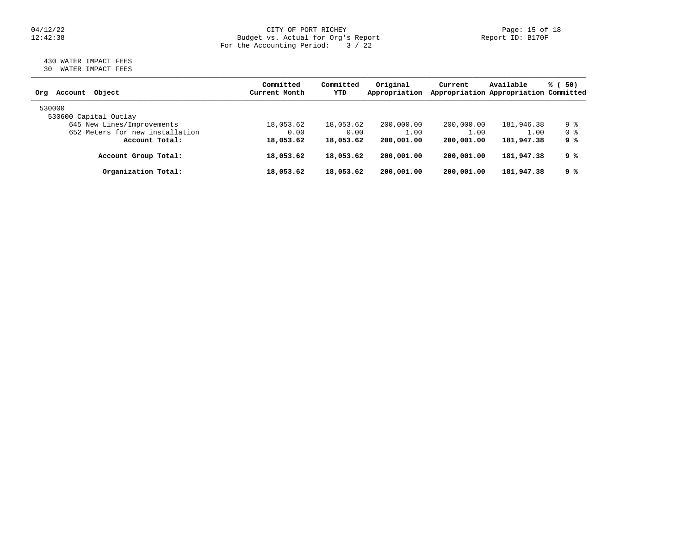### 04/12/22 CITY OF PORT RICHEY Page: 15 of 18 12:42:38 Budget vs. Actual for Org's Report Report ID: B170F For the Accounting Period: 3 / 22

## 430 WATER IMPACT FEES 30 WATER IMPACT FEES

| Object<br>Account<br>Org        | Committed<br>Current Month | Committed<br>YTD | Original<br>Appropriation | Current    | Available<br>Appropriation Appropriation Committed | % (50)         |
|---------------------------------|----------------------------|------------------|---------------------------|------------|----------------------------------------------------|----------------|
| 530000                          |                            |                  |                           |            |                                                    |                |
| 530600 Capital Outlay           |                            |                  |                           |            |                                                    |                |
| 645 New Lines/Improvements      | 18,053.62                  | 18,053.62        | 200,000.00                | 200,000.00 | 181,946.38                                         | 9 %            |
| 652 Meters for new installation | 0.00                       | 0.00             | 1.00                      | 1.00       | 1.00                                               | 0 <sup>8</sup> |
| Account Total:                  | 18,053.62                  | 18,053.62        | 200,001.00                | 200,001.00 | 181,947.38                                         | 9 %            |
| Account Group Total:            | 18,053.62                  | 18,053.62        | 200,001.00                | 200,001.00 | 181,947.38                                         | 9 %            |
| Organization Total:             | 18,053.62                  | 18,053.62        | 200,001.00                | 200,001.00 | 181,947.38                                         | 9 %            |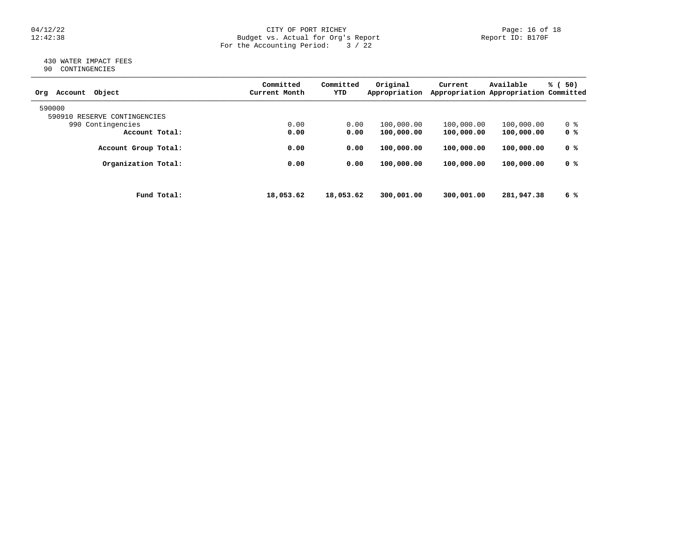# $04/12/22$  Page: 16 of 18<br>Budget vs. Actual for Org's Report Page: 16 of 18<br>Report ID: B170F Budget vs. Actual for Org's Report For the Accounting Period: 3 / 22

#### 430 WATER IMPACT FEES 90 CONTINGENCIES

| ╯ | COMITONOTICIO |  |
|---|---------------|--|
|   |               |  |

| Object<br>Account<br>Orq     | Committed<br>Current Month | Committed<br>YTD | Original<br>Appropriation | Current    | Available<br>Appropriation Appropriation Committed | % (<br>50) |
|------------------------------|----------------------------|------------------|---------------------------|------------|----------------------------------------------------|------------|
| 590000                       |                            |                  |                           |            |                                                    |            |
| 590910 RESERVE CONTINGENCIES |                            |                  |                           |            |                                                    |            |
| 990 Contingencies            | 0.00                       | 0.00             | 100,000.00                | 100,000.00 | 100,000.00                                         | 0 %        |
| Account Total:               | 0.00                       | 0.00             | 100,000.00                | 100,000.00 | 100,000.00                                         | 0 %        |
| Account Group Total:         | 0.00                       | 0.00             | 100,000.00                | 100,000.00 | 100,000.00                                         | 0 %        |
| Organization Total:          | 0.00                       | 0.00             | 100,000.00                | 100,000.00 | 100,000.00                                         | 0 %        |
|                              |                            |                  |                           |            |                                                    |            |
| Fund Total:                  | 18,053.62                  | 18,053.62        | 300,001.00                | 300,001.00 | 281,947.38                                         | 6 %        |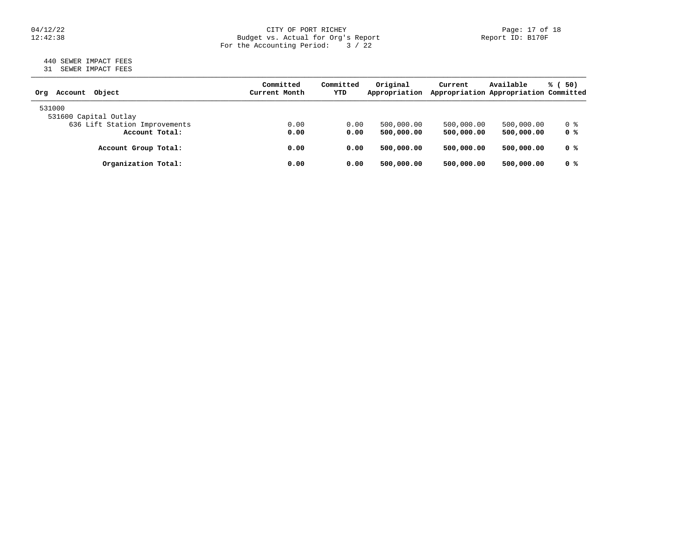### 04/12/22 CITY OF PORT RICHEY Page: 17 of 18 12:42:38 Budget vs. Actual for Org's Report Report ID: B170F For the Accounting Period: 3 / 22

## 440 SEWER IMPACT FEES 31 SEWER IMPACT FEES

| Object<br>Account<br>Orq      | Committed<br>Current Month | Committed<br>YTD | Original<br>Appropriation | Current    | Available<br>Appropriation Appropriation Committed | % (50)         |
|-------------------------------|----------------------------|------------------|---------------------------|------------|----------------------------------------------------|----------------|
| 531000                        |                            |                  |                           |            |                                                    |                |
| 531600 Capital Outlay         |                            |                  |                           |            |                                                    |                |
| 636 Lift Station Improvements | 0.00                       | 0.00             | 500,000.00                | 500,000.00 | 500,000.00                                         | 0 %            |
| Account Total:                | 0.00                       | 0.00             | 500,000,00                | 500,000.00 | 500,000.00                                         | 0 %            |
| Account Group Total:          | 0.00                       | 0.00             | 500,000,00                | 500,000,00 | 500,000.00                                         | 0 %            |
| Organization Total:           | 0.00                       | 0.00             | 500,000.00                | 500,000,00 | 500,000,00                                         | 0 <sup>8</sup> |